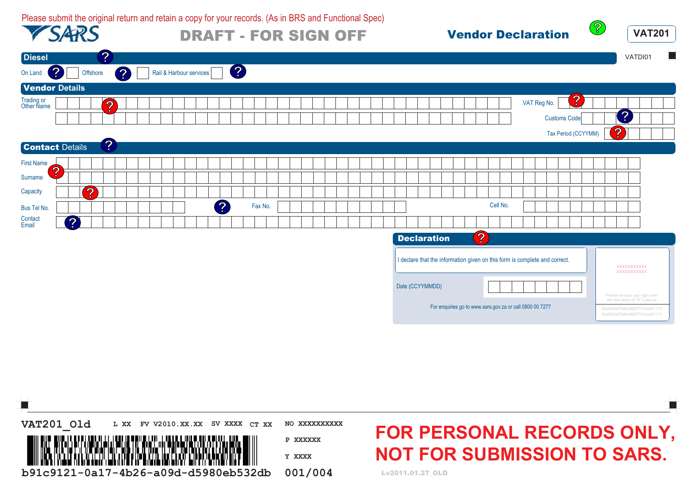| VSARS <sub>R</sub>                                                                                                                                                  | Please submit the original return and retain a copy for your records. (As in BRS and Functional Spec)<br><b>DRAFT - FOR SIGN OFF</b> |                                                | <b>Vendor Declaration</b>                                                                                                                                                       | <b>VAT201</b>                                                                                                                                           |
|---------------------------------------------------------------------------------------------------------------------------------------------------------------------|--------------------------------------------------------------------------------------------------------------------------------------|------------------------------------------------|---------------------------------------------------------------------------------------------------------------------------------------------------------------------------------|---------------------------------------------------------------------------------------------------------------------------------------------------------|
| Diesel C.<br>Offshore<br>On Land                                                                                                                                    | $(\sim)$<br>$\left( \sim \right)$<br>Rail & Harbour services                                                                         |                                                |                                                                                                                                                                                 | <b>The State</b><br>VATDI01                                                                                                                             |
| <b>Vendor Details</b><br>$\left( \mathbf{C} \right)$<br>Trading or<br>Other Name<br>$\overline{C}$                                                                  |                                                                                                                                      |                                                | $\left( \mathbf{\hat{c}}\right)$<br>VAT Reg No.<br><b>Customs Code</b><br>Tax Period (CCYYMM)                                                                                   | [C.                                                                                                                                                     |
| <b>Contact Details</b><br>ᢉ᠃<br><b>First Name</b><br>$\overline{\mathsf{C}}$<br>Surname<br>Capacity<br>$\left[\mathbf{c}\right]$<br>Bus Tel No.<br>Contact<br>Email | [N.<br>Fax No.                                                                                                                       |                                                | Cell No.<br>$\overline{\mathbf{C}}$                                                                                                                                             |                                                                                                                                                         |
|                                                                                                                                                                     |                                                                                                                                      |                                                | <b>Declaration</b><br>I declare that the information given on this form is complete and correct.<br>Date (CCYYMMDD)<br>For enquiries go to www.sars.gov.za or call 0800 00 7277 | XXXXXXXXXXX<br>XXXXXXXXXXX<br>Please ensure you sign over<br>the two lines of "X"'s above<br>Ba28cb87bder6697741sadf1111<br>Ba28cb87bder6697741sadf1111 |
|                                                                                                                                                                     |                                                                                                                                      |                                                |                                                                                                                                                                                 | ш                                                                                                                                                       |
| VAT201_01d                                                                                                                                                          | FV V2010.XX.XX SV XXXX CT XX<br>L XX<br>b91c9121-0a17-4b26-a09d-d5980eb532db                                                         | NO XXXXXXXXXX<br>P XXXXXX<br>Y XXXX<br>001/004 | FOR PERSONAL RECORDS ONLY,<br><b>NOT FOR SUBMISSION TO SARS.</b><br>Lv2011.01.27_OLD                                                                                            |                                                                                                                                                         |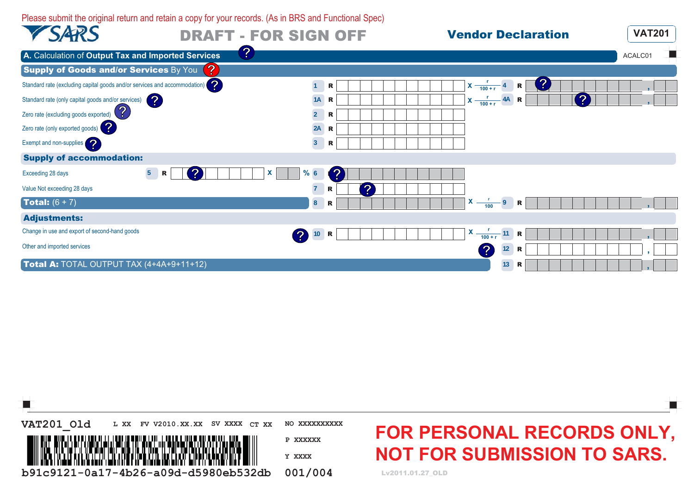Please submit the original return and retain a copy for your records. (As in BRS and Functional Spec)

| SARS<br><b>DRAFT GFOR SIGN OFF</b>                                                  |                     | <b>Vendor Declaration</b>              | <b>VAT201</b> |
|-------------------------------------------------------------------------------------|---------------------|----------------------------------------|---------------|
| A. Calculation of Output Tax and Imported Serv Co                                   |                     | ACALC01                                |               |
| <b>Supply of Goods and/or Services By You</b><br>$\left($ $\mathbf{C}$              |                     | $(\bullet)$                            |               |
| Standard rate (excluding capital goods and/or servic <a>&gt; d</a> d accommodation) | $\mathbf{1}$        | [လ.<br>$-4$<br>$X - 100 + r$<br>R<br>R |               |
| Standard rate (only capital goods and/october)                                      | 1A                  | $X \frac{r}{100+r}$ 4A R<br>R          |               |
| Zero rate (excluding goods expor $\bigodot$                                         | $\overline{2}$      | R                                      |               |
| Zero rate (only exported $g(\bigodot)$                                              | 2A                  | R                                      |               |
| Exempt and non-supplies                                                             | $\overline{3}$      | R                                      |               |
| <b>C.</b><br><b>Supply of accommodation:</b>                                        |                     | $(\mathbf{C} \cdot)$                   |               |
| $5\phantom{.0}$<br>X<br>Exceeding 28 days<br>R                                      | %66                 | $\overline{\mathbf{C}}$<br>R           |               |
| Value Not exceeding 28 days                                                         |                     | R                                      |               |
| <b>Total:</b> $(6 + 7)$                                                             | 8 <sup>°</sup><br>R | R<br>100                               |               |
| $\bullet$<br><b>Adjustments:</b>                                                    |                     |                                        |               |
| Change in use and export of second-hand goods                                       | $10$ R              | $X -$<br>11 <sup>1</sup><br>R          |               |
| Other and imported services                                                         |                     | 12<br>R                                |               |
| Total A: TOTAL OUTPUT TAX (4+4A+9+11+12)                                            |                     | 13<br>R                                |               |

**FOR PERSONAL RECORDS ONLY, NOT FOR SUBMISSION TO SARS.** Lv2011.01.27\_OLD **VAT201\_Old L XX FV V2010.XX.XX SV XXXX CT XX NO XXXXXXXXXX P XXXXXX Y XXXX b91c9121-0a17-4b26-a09d-d5980eb532db 001/004**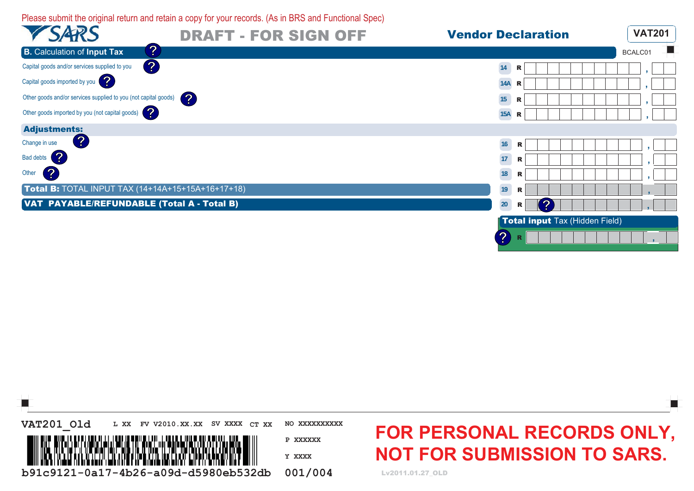Please submit the original return and retain a copy for your records. (As in BRS and Functional Spec)

|                                                         | <b>DRAFT - FOR SIGN OFF</b><br>$\overline{\mathbf{C}}$ | <b>Vendor Declaration</b>         | <b>VAT201</b> |
|---------------------------------------------------------|--------------------------------------------------------|-----------------------------------|---------------|
| <b>B.</b> Calculation of Input Tax                      | $\left(\mathbf{C}\cdot\right)$                         |                                   | BCALC01       |
| Capital goods and/or services stored to you             |                                                        | 14<br>R                           |               |
| Capital goods imported by you                           | $\overline{\mathbf{C}}$                                | 14A<br>R                          |               |
| Other goods and/or services supplied to you (not dools) |                                                        | 15<br>R                           |               |
| Other goods imported by you (not capital goods)         |                                                        | 15A<br>R                          |               |
| Adjustment <sup>0</sup>                                 |                                                        |                                   |               |
| Change in u                                             |                                                        | 16<br>R                           |               |
| Bad debt Co                                             |                                                        | 17<br>R                           |               |
| Other                                                   |                                                        | 18<br>R                           |               |
| Total B: TOTAL INPUT TAX (14+14A+15+15A+16+17+18)       |                                                        | $\mathbb{C}$<br>19<br>R           |               |
| VAT PAYABLE/REFUNDABLE (Total A - Total B)              |                                                        | 20<br>R                           |               |
|                                                         |                                                        | C., Ital input Tax (Hidden Field) |               |
|                                                         |                                                        |                                   |               |

**VAT201\_Old L XX FV V2010.XX.XX SV XXXX CT XX NO XXXXXXXXXX P XXXXXX Y XXXX b91c9121-0a17-4b26-a09d-d5980eb532db 001/004**

## **FOR PERSONAL RECORDS ONLY, NOT FOR SUBMISSION TO SARS.**

Lv2011.01.27\_OLD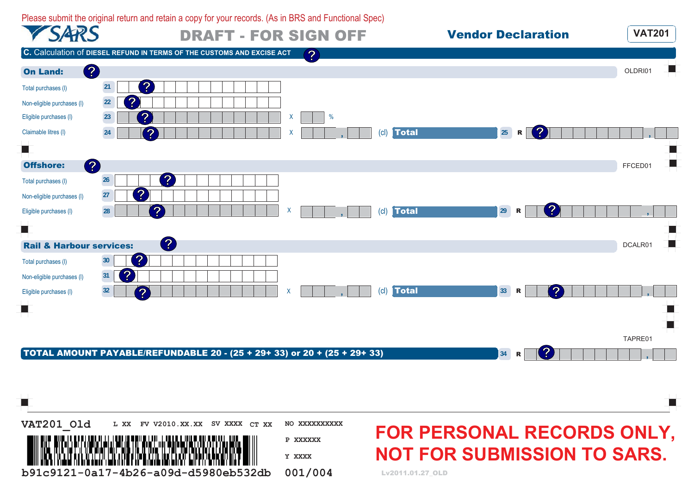Please submit the original return and retain a copy for your records. (As in BRS and Functional Spec)

| VSARS                      | <b>DRAFT - FOR SION OFF</b>                                                                  | <b>Vendor Declaration</b>                       | <b>VAT201</b>       |
|----------------------------|----------------------------------------------------------------------------------------------|-------------------------------------------------|---------------------|
|                            | $\mathsf C$ . Calculation of $\mathsf C$ , SEL REFUND IN TERMS OF THE CUSTOMS AND EXCISE ACT |                                                 |                     |
| <b>On Land:</b>            | $\overline{(\mathbf{c})}$                                                                    |                                                 | ш<br>OLDRI01        |
| Total purchases (I)        | $\overline{(\mathbf{c.})}$<br>21                                                             |                                                 |                     |
| Non-eligible purchases (I) | 22<br><u>(လ.)</u>                                                                            |                                                 |                     |
| Eligible purchases (I)     | 23<br><b>C.</b><br>$\%$                                                                      | $\bullet$                                       |                     |
| Claimable litres (I)       | 24                                                                                           | Total<br>$25\phantom{.0}$<br>$\mathsf{cl}$<br>R |                     |
| $\bullet$<br>. .           |                                                                                              |                                                 |                     |
| <b>Offshore:</b>           | $\bullet$                                                                                    |                                                 | П<br>FFCED01        |
| Total purchases (I)        | [လ]<br>26                                                                                    |                                                 |                     |
| Non-eligible purchases (I) | 27<br><b>C.</b>                                                                              | $\overline{\mathbf{C}}$                         |                     |
| Eligible purchases (I)     | 28<br>X                                                                                      | 29<br>(cl) Total<br>R                           |                     |
| <b>STEP</b>                | $\bullet$                                                                                    |                                                 | <b>In the first</b> |
| Rail & Harbour services.   |                                                                                              |                                                 | П<br>DCALR01        |
| Total purchases (I)        | $\bullet$<br>30 <sub>o</sub>                                                                 |                                                 |                     |
| Non-eligible purchases (I) | 31<br>$\overline{\mathbf{c}}$                                                                | $\overline{\mathbf{C}}$                         |                     |
| Eligible purchases (I)     | 32                                                                                           | (cl) Total<br>33<br>R                           |                     |
| ш                          |                                                                                              |                                                 | ×                   |
|                            |                                                                                              |                                                 | - 1                 |
|                            |                                                                                              | $\overline{(\mathbf{c})}$                       | TAPRE01             |
|                            | TOTAL AMOUNT PAYABLE/REFUNDABLE 20 - (25 + 29+ 33) or 20 + (25 + 29+ 33)                     | 34<br>$\mathbf R$                               |                     |